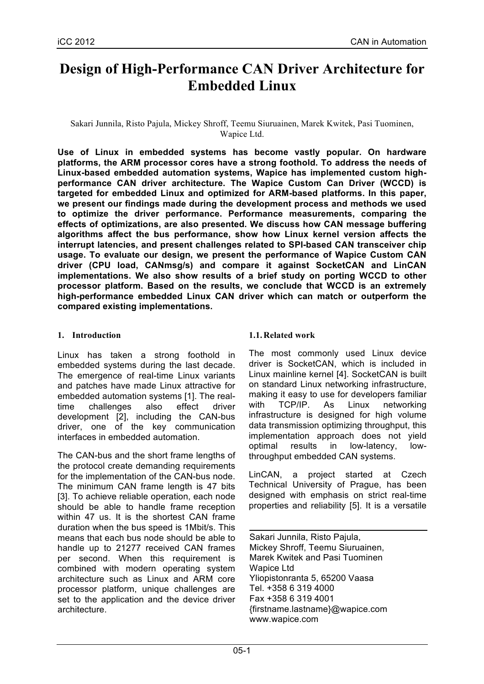# **Design of High-Performance CAN Driver Architecture for Embedded Linux**

Sakari Junnila, Risto Pajula, Mickey Shroff, Teemu Siuruainen, Marek Kwitek, Pasi Tuominen, Wapice Ltd.

**Use of Linux in embedded systems has become vastly popular. On hardware platforms, the ARM processor cores have a strong foothold. To address the needs of Linux-based embedded automation systems, Wapice has implemented custom highperformance CAN driver architecture. The Wapice Custom Can Driver (WCCD) is targeted for embedded Linux and optimized for ARM-based platforms. In this paper, we present our findings made during the development process and methods we used to optimize the driver performance. Performance measurements, comparing the effects of optimizations, are also presented. We discuss how CAN message buffering algorithms affect the bus performance, show how Linux kernel version affects the interrupt latencies, and present challenges related to SPI-based CAN transceiver chip usage. To evaluate our design, we present the performance of Wapice Custom CAN driver (CPU load, CANmsg/s) and compare it against SocketCAN and LinCAN implementations. We also show results of a brief study on porting WCCD to other processor platform. Based on the results, we conclude that WCCD is an extremely high-performance embedded Linux CAN driver which can match or outperform the compared existing implementations.**

## **1. Introduction**

Linux has taken a strong foothold in embedded systems during the last decade. The emergence of real-time Linux variants and patches have made Linux attractive for embedded automation systems [1]. The realtime challenges also effect driver development [2], including the CAN-bus driver, one of the key communication interfaces in embedded automation.

The CAN-bus and the short frame lengths of the protocol create demanding requirements for the implementation of the CAN-bus node. The minimum CAN frame length is 47 bits [3]. To achieve reliable operation, each node should be able to handle frame reception within 47 us. It is the shortest CAN frame duration when the bus speed is 1Mbit/s. This means that each bus node should be able to handle up to 21277 received CAN frames per second. When this requirement is combined with modern operating system architecture such as Linux and ARM core processor platform, unique challenges are set to the application and the device driver architecture.

# **1.1.Related work**

The most commonly used Linux device driver is SocketCAN, which is included in Linux mainline kernel [4]. SocketCAN is built on standard Linux networking infrastructure, making it easy to use for developers familiar with TCP/IP. As Linux networking infrastructure is designed for high volume data transmission optimizing throughput, this implementation approach does not yield optimal results in low-latency, lowthroughput embedded CAN systems.

LinCAN, a project started at Czech Technical University of Prague, has been designed with emphasis on strict real-time properties and reliability [5]. It is a versatile

Sakari Junnila, Risto Pajula, Mickey Shroff, Teemu Siuruainen, Marek Kwitek and Pasi Tuominen Wapice Ltd Yliopistonranta 5, 65200 Vaasa Tel. +358 6 319 4000 Fax +358 6 319 4001 {firstname.lastname}@wapice.com www.wapice.com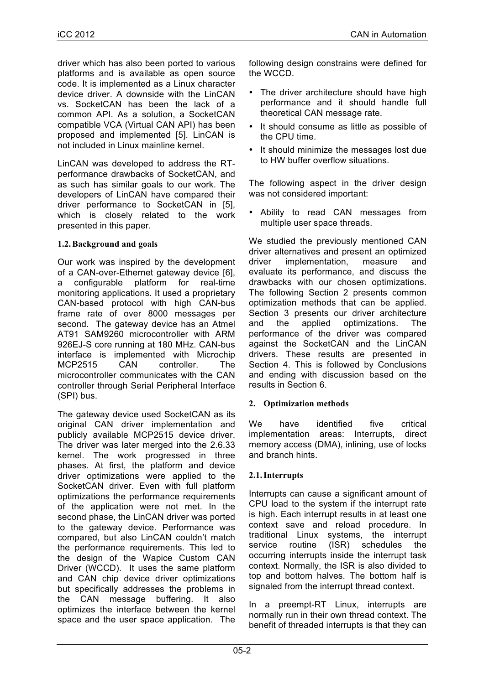driver which has also been ported to various platforms and is available as open source code. It is implemented as a Linux character device driver. A downside with the LinCAN vs. SocketCAN has been the lack of a common API. As a solution, a SocketCAN compatible VCA (Virtual CAN API) has been proposed and implemented [5]. LinCAN is not included in Linux mainline kernel.

LinCAN was developed to address the RTperformance drawbacks of SocketCAN, and as such has similar goals to our work. The developers of LinCAN have compared their driver performance to SocketCAN in [5], which is closely related to the work presented in this paper.

# **1.2.Background and goals**

Our work was inspired by the development of a CAN-over-Ethernet gateway device [6], a configurable platform for real-time monitoring applications. It used a proprietary CAN-based protocol with high CAN-bus frame rate of over 8000 messages per second. The gateway device has an Atmel AT91 SAM9260 microcontroller with ARM 926EJ-S core running at 180 MHz. CAN-bus interface is implemented with Microchip MCP2515 CAN controller. The microcontroller communicates with the CAN controller through Serial Peripheral Interface (SPI) bus.

The gateway device used SocketCAN as its original CAN driver implementation and publicly available MCP2515 device driver. The driver was later merged into the 2.6.33 kernel. The work progressed in three phases. At first, the platform and device driver optimizations were applied to the SocketCAN driver. Even with full platform optimizations the performance requirements of the application were not met. In the second phase, the LinCAN driver was ported to the gateway device. Performance was compared, but also LinCAN couldn't match the performance requirements. This led to the design of the Wapice Custom CAN Driver (WCCD). It uses the same platform and CAN chip device driver optimizations but specifically addresses the problems in the CAN message buffering. It also optimizes the interface between the kernel space and the user space application. The

following design constrains were defined for the WCCD.

- The driver architecture should have high performance and it should handle full theoretical CAN message rate.
- It should consume as little as possible of the CPU time.
- It should minimize the messages lost due to HW buffer overflow situations.

The following aspect in the driver design was not considered important:

• Ability to read CAN messages from multiple user space threads.

We studied the previously mentioned CAN driver alternatives and present an optimized driver implementation, measure and evaluate its performance, and discuss the drawbacks with our chosen optimizations. The following Section 2 presents common optimization methods that can be applied. Section 3 presents our driver architecture and the applied optimizations. The performance of the driver was compared against the SocketCAN and the LinCAN drivers. These results are presented in Section 4. This is followed by Conclusions and ending with discussion based on the results in Section 6.

# **2. Optimization methods**

We have identified five critical implementation areas: Interrupts, direct memory access (DMA), inlining, use of locks and branch hints.

# **2.1.Interrupts**

Interrupts can cause a significant amount of CPU load to the system if the interrupt rate is high. Each interrupt results in at least one context save and reload procedure. In traditional Linux systems, the interrupt service routine (ISR) schedules the occurring interrupts inside the interrupt task context. Normally, the ISR is also divided to top and bottom halves. The bottom half is signaled from the interrupt thread context.

In a preempt-RT Linux, interrupts are normally run in their own thread context. The benefit of threaded interrupts is that they can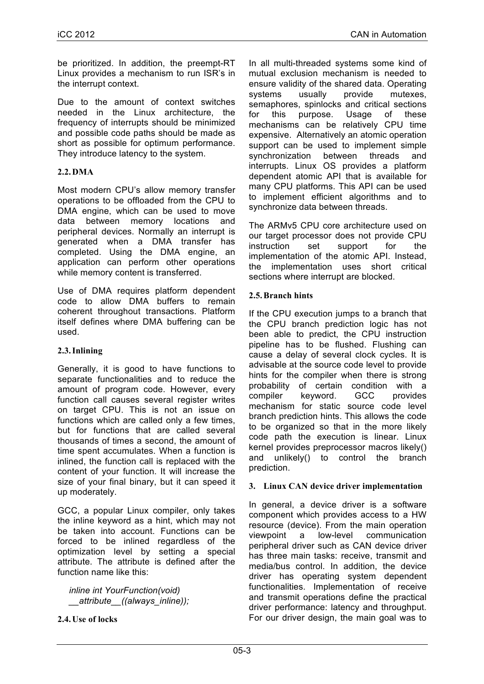be prioritized. In addition, the preempt-RT Linux provides a mechanism to run ISR's in the interrupt context.

Due to the amount of context switches needed in the Linux architecture, the frequency of interrupts should be minimized and possible code paths should be made as short as possible for optimum performance. They introduce latency to the system.

## **2.2.DMA**

Most modern CPU's allow memory transfer operations to be offloaded from the CPU to DMA engine, which can be used to move data between memory locations and peripheral devices. Normally an interrupt is generated when a DMA transfer has completed. Using the DMA engine, an application can perform other operations while memory content is transferred.

Use of DMA requires platform dependent code to allow DMA buffers to remain coherent throughout transactions. Platform itself defines where DMA buffering can be used.

# **2.3.Inlining**

Generally, it is good to have functions to separate functionalities and to reduce the amount of program code. However, every function call causes several register writes on target CPU. This is not an issue on functions which are called only a few times, but for functions that are called several thousands of times a second, the amount of time spent accumulates. When a function is inlined, the function call is replaced with the content of your function. It will increase the size of your final binary, but it can speed it up moderately.

GCC, a popular Linux compiler, only takes the inline keyword as a hint, which may not be taken into account. Functions can be forced to be inlined regardless of the optimization level by setting a special attribute. The attribute is defined after the function name like this:

*inline int YourFunction(void) \_\_attribute\_\_((always\_inline));*

**2.4.Use of locks**

In all multi-threaded systems some kind of mutual exclusion mechanism is needed to ensure validity of the shared data. Operating systems usually provide mutexes, semaphores, spinlocks and critical sections for this purpose. Usage of these mechanisms can be relatively CPU time expensive. Alternatively an atomic operation support can be used to implement simple synchronization between threads and interrupts. Linux OS provides a platform dependent atomic API that is available for many CPU platforms. This API can be used to implement efficient algorithms and to synchronize data between threads.

The ARMv5 CPU core architecture used on our target processor does not provide CPU instruction set support for the implementation of the atomic API. Instead, the implementation uses short critical sections where interrupt are blocked.

## **2.5.Branch hints**

If the CPU execution jumps to a branch that the CPU branch prediction logic has not been able to predict, the CPU instruction pipeline has to be flushed. Flushing can cause a delay of several clock cycles. It is advisable at the source code level to provide hints for the compiler when there is strong probability of certain condition with a compiler keyword. GCC provides mechanism for static source code level branch prediction hints. This allows the code to be organized so that in the more likely code path the execution is linear. Linux kernel provides preprocessor macros likely() and unlikely() to control the branch prediction.

#### **3. Linux CAN device driver implementation**

In general, a device driver is a software component which provides access to a HW resource (device). From the main operation viewpoint a low-level communication peripheral driver such as CAN device driver has three main tasks: receive, transmit and media/bus control. In addition, the device driver has operating system dependent functionalities. Implementation of receive and transmit operations define the practical driver performance: latency and throughput. For our driver design, the main goal was to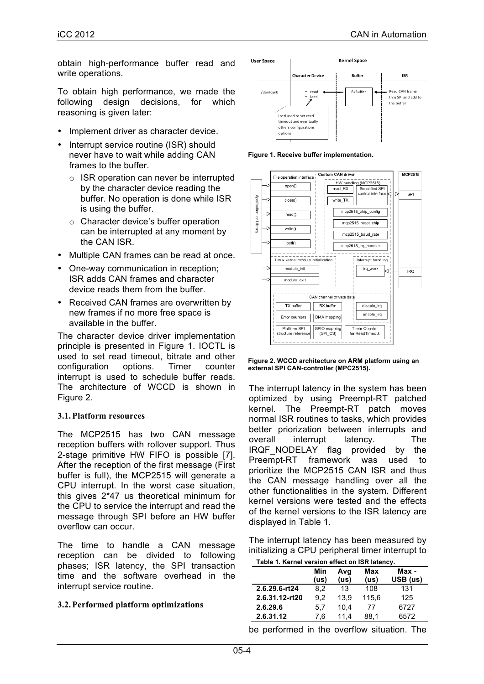obtain high-performance buffer read and write operations.

To obtain high performance, we made the following design decisions, for which reasoning is given later:

- Implement driver as character device.
- Interrupt service routine (ISR) should never have to wait while adding CAN frames to the buffer.
	- o ISR operation can never be interrupted by the character device reading the buffer. No operation is done while ISR is using the buffer.
	- o Character device's buffer operation can be interrupted at any moment by the CAN ISR.
- Multiple CAN frames can be read at once.
- One-way communication in reception; ISR adds CAN frames and character device reads them from the buffer.
- Received CAN frames are overwritten by new frames if no more free space is available in the buffer.

The character device driver implementation principle is presented in Figure 1. IOCTL is used to set read timeout, bitrate and other configuration options. Timer counter interrupt is used to schedule buffer reads. The architecture of WCCD is shown in Figure 2.

#### **3.1.Platform resources**

The MCP2515 has two CAN message reception buffers with rollover support. Thus 2-stage primitive HW FIFO is possible [7]. After the reception of the first message (First buffer is full), the MCP2515 will generate a CPU interrupt. In the worst case situation, this gives 2\*47 us theoretical minimum for the CPU to service the interrupt and read the message through SPI before an HW buffer overflow can occur.

The time to handle a CAN message reception can be divided to following phases; ISR latency, the SPI transaction time and the software overhead in the interrupt service routine.

#### **3.2.Performed platform optimizations**



**Figure 1. Receive buffer implementation.**



| Figure 2. WCCD architecture on ARM platform using an |  |
|------------------------------------------------------|--|
| external SPI CAN-controller (MPC2515).               |  |

The interrupt latency in the system has been optimized by using Preempt-RT patched kernel. The Preempt-RT patch moves normal ISR routines to tasks, which provides better priorization between interrupts and overall interrupt latency. The IRQF\_NODELAY flag provided by the Preempt-RT framework was used to prioritize the MCP2515 CAN ISR and thus the CAN message handling over all the other functionalities in the system. Different kernel versions were tested and the effects of the kernel versions to the ISR latency are displayed in Table 1.

The interrupt latency has been measured by initializing a CPU peripheral timer interrupt to

| Table 1. Kernel version effect on ISR latency. |  |  |
|------------------------------------------------|--|--|
|                                                |  |  |

|                | Min<br>(us) | Avg<br>(us) | Max<br>(us) | Max -<br>USB (us) |
|----------------|-------------|-------------|-------------|-------------------|
| 2.6.29.6-rt24  | 8.2         | 13          | 108         | 131               |
| 2.6.31.12-rt20 | 9.2         | 13.9        | 115.6       | 125               |
| 2.6.29.6       | 5.7         | 10.4        | 77          | 6727              |
| 2.6.31.12      | 7.6         | 11.4        | 88.1        | 6572              |

be performed in the overflow situation. The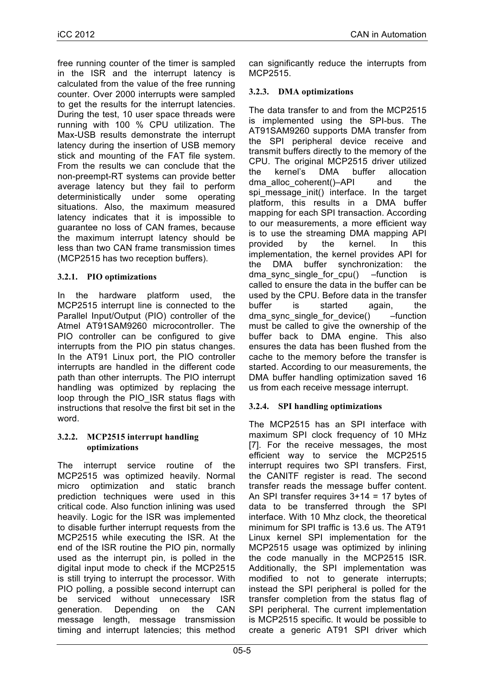free running counter of the timer is sampled in the ISR and the interrupt latency is calculated from the value of the free running counter. Over 2000 interrupts were sampled to get the results for the interrupt latencies. During the test, 10 user space threads were running with 100 % CPU utilization. The Max-USB results demonstrate the interrupt latency during the insertion of USB memory stick and mounting of the FAT file system. From the results we can conclude that the non-preempt-RT systems can provide better average latency but they fail to perform deterministically under some operating situations. Also, the maximum measured latency indicates that it is impossible to guarantee no loss of CAN frames, because the maximum interrupt latency should be less than two CAN frame transmission times (MCP2515 has two reception buffers).

# **3.2.1. PIO optimizations**

In the hardware platform used, the MCP2515 interrupt line is connected to the Parallel Input/Output (PIO) controller of the Atmel AT91SAM9260 microcontroller. The PIO controller can be configured to give interrupts from the PIO pin status changes. In the AT91 Linux port, the PIO controller interrupts are handled in the different code path than other interrupts. The PIO interrupt handling was optimized by replacing the loop through the PIO\_ISR status flags with instructions that resolve the first bit set in the word.

#### **3.2.2. MCP2515 interrupt handling optimizations**

The interrupt service routine of the MCP2515 was optimized heavily. Normal micro optimization and static branch prediction techniques were used in this critical code. Also function inlining was used heavily. Logic for the ISR was implemented to disable further interrupt requests from the MCP2515 while executing the ISR. At the end of the ISR routine the PIO pin, normally used as the interrupt pin, is polled in the digital input mode to check if the MCP2515 is still trying to interrupt the processor. With PIO polling, a possible second interrupt can be serviced without unnecessary ISR generation. Depending on the CAN message length, message transmission timing and interrupt latencies; this method can significantly reduce the interrupts from MCP2515.

# **3.2.3. DMA optimizations**

The data transfer to and from the MCP2515 is implemented using the SPI-bus. The AT91SAM9260 supports DMA transfer from the SPI peripheral device receive and transmit buffers directly to the memory of the CPU. The original MCP2515 driver utilized the kernel's DMA buffer allocation dma alloc coherent()–API and the spi message init() interface. In the target platform, this results in a DMA buffer mapping for each SPI transaction. According to our measurements, a more efficient way is to use the streaming DMA mapping API provided by the kernel. In this implementation, the kernel provides API for the DMA buffer synchronization: the dma sync single for cpu() –function is called to ensure the data in the buffer can be used by the CPU. Before data in the transfer buffer is started again, the dma\_sync\_single\_for\_device() –function must be called to give the ownership of the buffer back to DMA engine. This also ensures the data has been flushed from the cache to the memory before the transfer is started. According to our measurements, the DMA buffer handling optimization saved 16 us from each receive message interrupt.

# **3.2.4. SPI handling optimizations**

The MCP2515 has an SPI interface with maximum SPI clock frequency of 10 MHz [7]. For the receive messages, the most efficient way to service the MCP2515 interrupt requires two SPI transfers. First, the CANITF register is read. The second transfer reads the message buffer content. An SPI transfer requires 3+14 = 17 bytes of data to be transferred through the SPI interface. With 10 Mhz clock, the theoretical minimum for SPI traffic is 13.6 us. The AT91 Linux kernel SPI implementation for the MCP2515 usage was optimized by inlining the code manually in the MCP2515 ISR. Additionally, the SPI implementation was modified to not to generate interrupts; instead the SPI peripheral is polled for the transfer completion from the status flag of SPI peripheral. The current implementation is MCP2515 specific. It would be possible to create a generic AT91 SPI driver which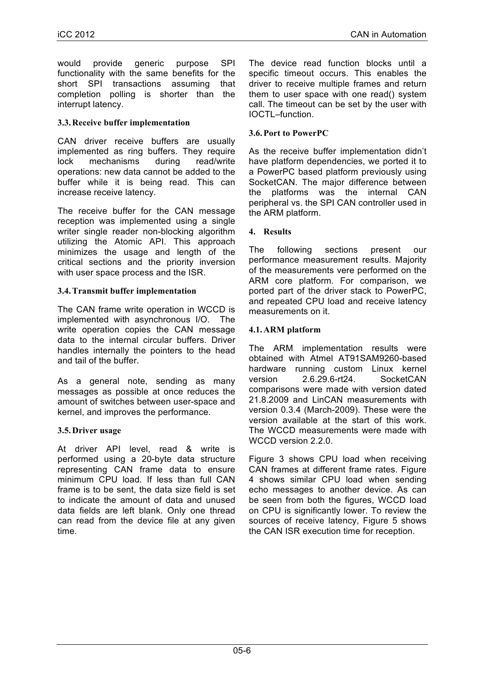would provide generic purpose SPI functionality with the same benefits for the short SPI transactions assuming that completion polling is shorter than the interrupt latency.

## **3.3.Receive buffer implementation**

CAN driver receive buffers are usually implemented as ring buffers. They require lock mechanisms during read/write operations: new data cannot be added to the buffer while it is being read. This can increase receive latency.

The receive buffer for the CAN message reception was implemented using a single writer single reader non-blocking algorithm utilizing the Atomic API. This approach minimizes the usage and length of the critical sections and the priority inversion with user space process and the ISR.

## **3.4.Transmit buffer implementation**

The CAN frame write operation in WCCD is implemented with asynchronous I/O. The write operation copies the CAN message data to the internal circular buffers. Driver handles internally the pointers to the head and tail of the buffer.

As a general note, sending as many messages as possible at once reduces the amount of switches between user-space and kernel, and improves the performance.

# **3.5.Driver usage**

At driver API level, read & write is performed using a 20-byte data structure representing CAN frame data to ensure minimum CPU load. If less than full CAN frame is to be sent, the data size field is set to indicate the amount of data and unused data fields are left blank. Only one thread can read from the device file at any given time.

The device read function blocks until a specific timeout occurs. This enables the driver to receive multiple frames and return them to user space with one read() system call. The timeout can be set by the user with IOCTL–function.

## **3.6.Port to PowerPC**

As the receive buffer implementation didn't have platform dependencies, we ported it to a PowerPC based platform previously using SocketCAN. The major difference between the platforms was the internal CAN peripheral vs. the SPI CAN controller used in the ARM platform.

#### **4. Results**

The following sections present our performance measurement results. Majority of the measurements vere performed on the ARM core platform. For comparison, we ported part of the driver stack to PowerPC, and repeated CPU load and receive latency measurements on it.

## **4.1.ARM platform**

The ARM implementation results were obtained with Atmel AT91SAM9260-based hardware running custom Linux kernel version 2.6.29.6-rt24. SocketCAN comparisons were made with version dated 21.8.2009 and LinCAN measurements with version 0.3.4 (March-2009). These were the version available at the start of this work. The WCCD measurements were made with WCCD version 2.2.0.

Figure 3 shows CPU load when receiving CAN frames at different frame rates. Figure 4 shows similar CPU load when sending echo messages to another device. As can be seen from both the figures, WCCD load on CPU is significantly lower. To review the sources of receive latency, Figure 5 shows the CAN ISR execution time for reception.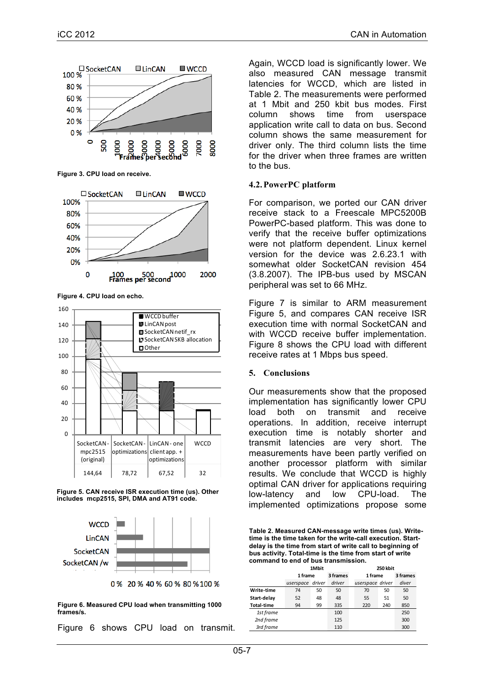

**Figure 3. CPU load on receive.**



**Figure 4. CPU load on echo.**







<sup>0 % 20 % 40 % 60 % 80 % 100 %</sup> 

**Figure 6. Measured CPU load when transmitting 1000 frames/s.**

Figure 6 shows CPU load on transmit.

Again, WCCD load is significantly lower. We also measured CAN message transmit latencies for WCCD, which are listed in Table 2. The measurements were performed at 1 Mbit and 250 kbit bus modes. First column shows time from userspace application write call to data on bus. Second column shows the same measurement for driver only. The third column lists the time for the driver when three frames are written to the bus.

#### **4.2.PowerPC platform**

For comparison, we ported our CAN driver receive stack to a Freescale MPC5200B PowerPC-based platform. This was done to verify that the receive buffer optimizations were not platform dependent. Linux kernel version for the device was 2.6.23.1 with somewhat older SocketCAN revision 454 (3.8.2007). The IPB-bus used by MSCAN peripheral was set to 66 MHz.

Figure 7 is similar to ARM measurement Figure 5, and compares CAN receive ISR execution time with normal SocketCAN and with WCCD receive buffer implementation. Figure 8 shows the CPU load with different receive rates at 1 Mbps bus speed.

#### **5. Conclusions**

Our measurements show that the proposed implementation has significantly lower CPU load both on transmit and receive operations. In addition, receive interrupt execution time is notably shorter and transmit latencies are very short. The measurements have been partly verified on another processor platform with similar results. We conclude that WCCD is highly optimal CAN driver for applications requiring low-latency and low CPU-load. The implemented optimizations propose some

**Table 2. Measured CAN-message write times (us). Writetime is the time taken for the write-call execution. Startdelay is the time from start of write call to beginning of bus activity. Total-time is the time from start of write command to end of bus transmission.**

|                   | 1Mbit            |    |          | 250 kbit         |     |          |  |
|-------------------|------------------|----|----------|------------------|-----|----------|--|
|                   | 1 frame          |    | 3 frames | 1 frame          |     | 3 frames |  |
|                   | userspace driver |    | driver   | userspace driver |     | diver    |  |
| Write-time        | 74               | 50 | 50       | 70               | 50  | 50       |  |
| Start-delay       | 52               | 48 | 48       | 55               | 51  | 50       |  |
| <b>Total-time</b> | 94               | 99 | 335      | 220              | 240 | 850      |  |
| 1st frame         |                  |    | 100      |                  |     | 250      |  |
| 2nd frame         |                  |    | 125      |                  |     | 300      |  |
| 3rd frame         |                  |    | 110      |                  |     | 300      |  |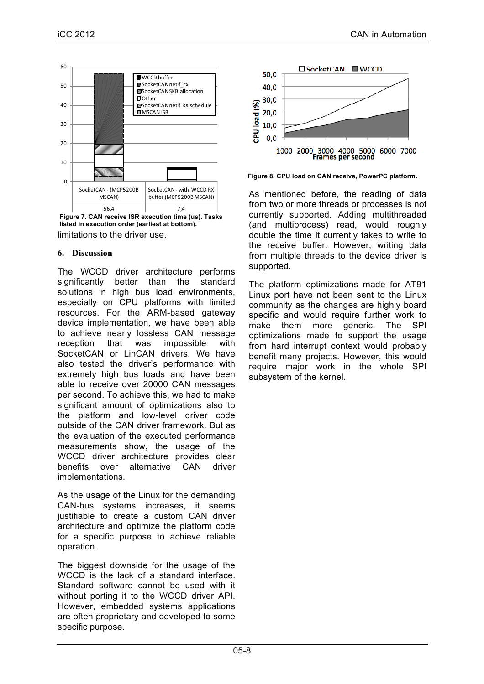

limitations to the driver use. **Figure 7. CAN receive ISR execution time (us). Tasks listed in execution order (earliest at bottom).**

#### **6. Discussion**

The WCCD driver architecture performs significantly better than the standard solutions in high bus load environments, especially on CPU platforms with limited resources. For the ARM-based gateway device implementation, we have been able to achieve nearly lossless CAN message reception that was impossible with SocketCAN or LinCAN drivers. We have also tested the driver's performance with extremely high bus loads and have been able to receive over 20000 CAN messages per second. To achieve this, we had to make significant amount of optimizations also to the platform and low-level driver code outside of the CAN driver framework. But as the evaluation of the executed performance measurements show, the usage of the WCCD driver architecture provides clear benefits over alternative CAN driver implementations.

As the usage of the Linux for the demanding CAN-bus systems increases, it seems justifiable to create a custom CAN driver architecture and optimize the platform code for a specific purpose to achieve reliable operation.

The biggest downside for the usage of the WCCD is the lack of a standard interface. Standard software cannot be used with it without porting it to the WCCD driver API. However, embedded systems applications are often proprietary and developed to some specific purpose.



**Figure 8. CPU load on CAN receive, PowerPC platform.** 

As mentioned before, the reading of data from two or more threads or processes is not currently supported. Adding multithreaded (and multiprocess) read, would roughly double the time it currently takes to write to the receive buffer. However, writing data from multiple threads to the device driver is supported.

The platform optimizations made for AT91 Linux port have not been sent to the Linux community as the changes are highly board specific and would require further work to make them more generic. The SPI optimizations made to support the usage from hard interrupt context would probably benefit many projects. However, this would require major work in the whole SPI subsystem of the kernel.